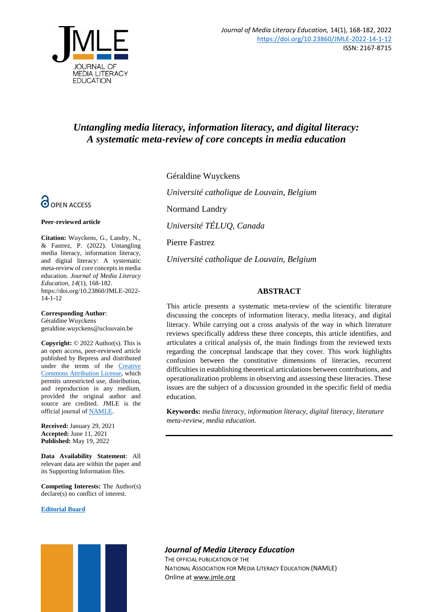

# *Untangling media literacy, information literacy, and digital literacy: A systematic meta-review of core concepts in media education*



#### **Peer-reviewed article**

**Citation:** Wuyckens, G., Landry, N., & Fastrez, P. (2022). Untangling media literacy, information literacy, and digital literacy: A systematic meta-review of core concepts in media education. *Journal of Media Literacy Education, 14*(1), 168-182. https://doi.org/10.23860/JMLE-2022- 14-1-12

#### **Corresponding Author**:

Géraldine Wuyckens geraldine.wuyckens@uclouvain.be

**Copyright:** © 2022 Author(s). This is an open access, peer-reviewed article published by Bepress and distributed under the terms of the **Creative** [Commons Attribution License,](https://creativecommons.org/licenses/by/4.0/) which permits unrestricted use, distribution, and reproduction in any medium, provided the original author and source are credited. JMLE is the official journal o[f NAMLE.](https://namle.net/)

**Received:** January 29, 2021 **Accepted:** June 11, 2021 **Published:** May 19, 2022

**Data Availability Statement**: All relevant data are within the paper and its Supporting Information files.

**Competing Interests:** The Author(s) declare(s) no conflict of interest.

**[Editorial Board](https://digitalcommons.uri.edu/jmle/editorialboard.html)**

Géraldine Wuyckens

*Université catholique de Louvain, Belgium*

Normand Landry

*Université TÉLUQ, Canada*

Pierre Fastrez

*Université catholique de Louvain, Belgium*

# **ABSTRACT**

This article presents a systematic meta-review of the scientific literature discussing the concepts of information literacy, media literacy, and digital literacy. While carrying out a cross analysis of the way in which literature reviews specifically address these three concepts, this article identifies, and articulates a critical analysis of, the main findings from the reviewed texts regarding the conceptual landscape that they cover. This work highlights confusion between the constitutive dimensions of literacies, recurrent difficulties in establishing theoretical articulations between contributions, and operationalization problems in observing and assessing these literacies. These issues are the subject of a discussion grounded in the specific field of media education.

**Keywords:** *media literacy, information literacy, digital literacy, literature meta-review, media education.*

*Journal of Media Literacy Education*

THE OFFICIAL PUBLICATION OF THE NATIONAL ASSOCIATION FOR MEDIA LITERACY EDUCATION (NAMLE) Online at [www.jmle.org](http://www.jmle.org/)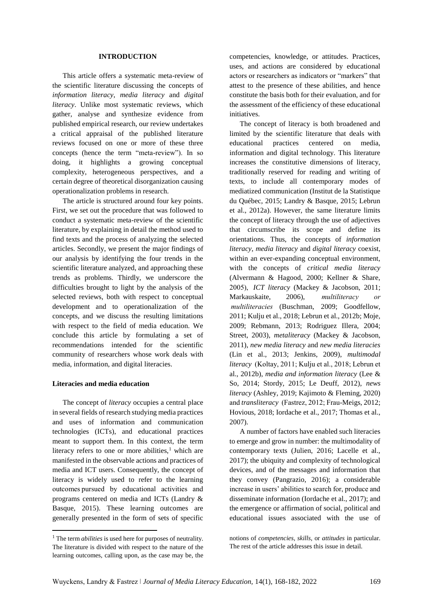#### **INTRODUCTION**

This article offers a systematic meta-review of the scientific literature discussing the concepts of *information literacy*, *media literacy* and *digital literacy*. Unlike most systematic reviews, which gather, analyse and synthesize evidence from published empirical research, our review undertakes a critical appraisal of the published literature reviews focused on one or more of these three concepts (hence the term "meta-review"). In so doing, it highlights a growing conceptual complexity, heterogeneous perspectives, and a certain degree of theoretical disorganization causing operationalization problems in research.

The article is structured around four key points. First, we set out the procedure that was followed to conduct a systematic meta-review of the scientific literature, by explaining in detail the method used to find texts and the process of analyzing the selected articles. Secondly, we present the major findings of our analysis by identifying the four trends in the scientific literature analyzed, and approaching these trends as problems. Thirdly, we underscore the difficulties brought to light by the analysis of the selected reviews, both with respect to conceptual development and to operationalization of the concepts, and we discuss the resulting limitations with respect to the field of media education. We conclude this article by formulating a set of recommendations intended for the scientific community of researchers whose work deals with media, information, and digital literacies.

#### **Literacies and media education**

**.** 

The concept of *literacy* occupies a central place in several fields of research studying media practices and uses of information and communication technologies (ICTs), and educational practices meant to support them. In this context, the term literacy refers to one or more abilities, $<sup>1</sup>$  which are</sup> manifested in the observable actions and practices of media and ICT users. Consequently, the concept of literacy is widely used to refer to the learning outcomes pursued by educational activities and programs centered on media and ICTs (Landry & Basque, 2015). These learning outcomes are generally presented in the form of sets of specific

competencies, knowledge, or attitudes. Practices, uses, and actions are considered by educational actors or researchers as indicators or "markers" that attest to the presence of these abilities, and hence constitute the basis both for their evaluation, and for the assessment of the efficiency of these educational initiatives.

The concept of literacy is both broadened and limited by the scientific literature that deals with educational practices centered on media, information and digital technology. This literature increases the constitutive dimensions of literacy, traditionally reserved for reading and writing of texts, to include all contemporary modes of mediatized communication (Institut de la Statistique du Québec, 2015; Landry & Basque, 2015; Lebrun et al., 2012a). However, the same literature limits the concept of literacy through the use of adjectives that circumscribe its scope and define its orientations. Thus, the concepts of *information literacy*, *media literacy* and *digital literacy* coexist, within an ever-expanding conceptual environment, with the concepts of *critical media literacy* (Alvermann & Hagood, 2000; Kellner & Share, 2005),  *ICT literacy* (Mackey & Jacobson, 2011; Markauskaite, 2006), *multiliteracy or  multiliteracies* (Buschman, 2009; Goodfellow, 2011; Kulju et al., 2018; Lebrun et al., 2012b; Moje, 2009; Rebmann, 2013; Rodriguez Illera, 2004; Street, 2003), *metaliteracy* (Mackey & Jacobson, 2011), *new media literacy* and *new media literacies* (Lin et al., 2013; Jenkins, 2009), *multimodal literacy*  (Koltay, 2011; Kulju et al., 2018; Lebrun et al., 2012b), *media and information literacy* (Lee & So, 2014; Stordy, 2015; Le Deuff, 2012), *news literacy* (Ashley, 2019; Kajimoto & Fleming, 2020) and *transliteracy*  (Fastrez, 2012; Frau-Meigs, 2012; Hovious, 2018; Iordache et al., 2017; Thomas et al., 2007).

A number of factors have enabled such literacies to emerge and grow in number: the multimodality of contemporary texts (Julien, 2016; Lacelle et al., 2017); the ubiquity and complexity of technological devices, and of the messages and information that they convey (Pangrazio, 2016); a considerable increase in users' abilities to search for, produce and disseminate information (Iordache et al., 2017); and the emergence or affirmation of social, political and educational issues associated with the use of

<sup>&</sup>lt;sup>1</sup> The term *abilities* is used here for purposes of neutrality. The literature is divided with respect to the nature of the learning outcomes, calling upon, as the case may be, the

notions of *competencies*, *skills*, or *attitudes* in particular. The rest of the article addresses this issue in detail.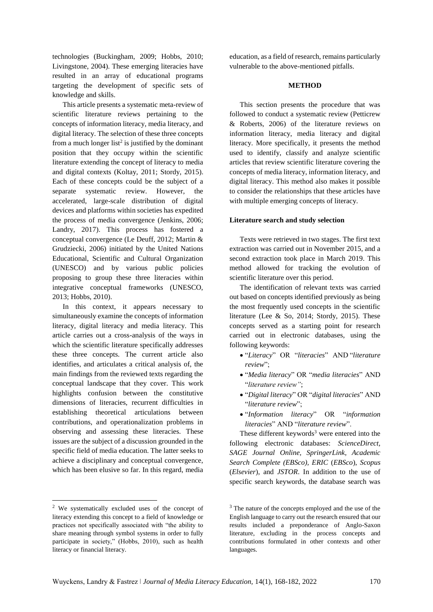technologies (Buckingham, 2009; Hobbs, 2010; Livingstone, 2004). These emerging literacies have resulted in an array of educational programs targeting the development of specific sets of knowledge and skills.

This article presents a systematic meta-review of scientific literature reviews pertaining to the concepts of information literacy, media literacy, and digital literacy. The selection of these three concepts from a much longer list<sup>2</sup> is justified by the dominant position that they occupy within the scientific literature extending the concept of literacy to media and digital contexts (Koltay, 2011; Stordy, 2015). Each of these concepts could be the subject of a separate systematic review. However, the accelerated, large-scale distribution of digital devices and platforms within societies has expedited the process of media convergence (Jenkins, 2006; Landry, 2017). This process has fostered a conceptual convergence (Le Deuff, 2012; Martin & Grudziecki, 2006) initiated by the United Nations Educational, Scientific and Cultural Organization (UNESCO) and by various public policies proposing to group these three literacies within integrative conceptual frameworks (UNESCO, 2013; Hobbs, 2010).

In this context, it appears necessary to simultaneously examine the concepts of information literacy, digital literacy and media literacy. This article carries out a cross-analysis of the ways in which the scientific literature specifically addresses these three concepts. The current article also identifies, and articulates a critical analysis of, the main findings from the reviewed texts regarding the conceptual landscape that they cover. This work highlights confusion between the constitutive dimensions of literacies, recurrent difficulties in establishing theoretical articulations between contributions, and operationalization problems in observing and assessing these literacies. These issues are the subject of a discussion grounded in the specific field of media education. The latter seeks to achieve a disciplinary and conceptual convergence, which has been elusive so far. In this regard, media

<sup>2</sup> We systematically excluded uses of the concept of literacy extending this concept to a field of knowledge or practices not specifically associated with "the ability to share meaning through symbol systems in order to fully participate in society," (Hobbs, 2010), such as health literacy or financial literacy.

**.** 

education, as a field of research, remains particularly vulnerable to the above-mentioned pitfalls.

## **METHOD**

This section presents the procedure that was followed to conduct a systematic review (Petticrew & Roberts, 2006) of the literature reviews on information literacy, media literacy and digital literacy. More specifically, it presents the method used to identify, classify and analyze scientific articles that review scientific literature covering the concepts of media literacy, information literacy, and digital literacy. This method also makes it possible to consider the relationships that these articles have with multiple emerging concepts of literacy.

#### **Literature search and study selection**

Texts were retrieved in two stages. The first text extraction was carried out in November 2015, and a second extraction took place in March 2019. This method allowed for tracking the evolution of scientific literature over this period.

The identification of relevant texts was carried out based on concepts identified previously as being the most frequently used concepts in the scientific literature (Lee & So, 2014; Stordy, 2015). These concepts served as a starting point for research carried out in electronic databases, using the following keywords:

- "*Literacy*" OR "*literacies*" AND "*literature review*";
- "*Media literacy*" OR "*media literacies*" AND "*literature review"*;
- "*Digital literacy*" OR "*digital literacies*" AND "*literature review*";
- "*Information literacy*" OR "*information literacies*" AND "*literature review*".

These different keywords<sup>3</sup> were entered into the following electronic databases: *ScienceDirect, SAGE Journal Online, SpringerLink, Academic Search Complete (EBSco), ERIC* (*EBSco*), *Scopus*  (*Elsevier*), and *JSTOR*. In addition to the use of specific search keywords, the database search was

 $3$  The nature of the concepts employed and the use of the English language to carry out the research ensured that our results included a preponderance of Anglo-Saxon literature, excluding in the process concepts and contributions formulated in other contexts and other languages.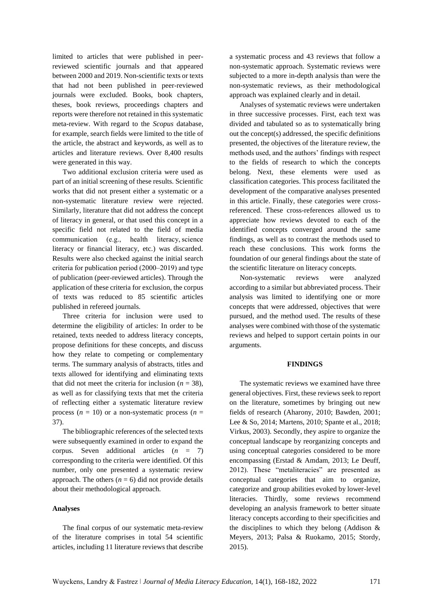limited to articles that were published in peerreviewed scientific journals and that appeared between 2000 and 2019. Non-scientific texts or texts that had not been published in peer-reviewed journals were excluded. Books, book chapters, theses, book reviews, proceedings chapters and reports were therefore not retained in this systematic meta-review. With regard to the *Scopus* database, for example, search fields were limited to the title of the article, the abstract and keywords, as well as to articles and literature reviews. Over 8,400 results were generated in this way.

Two additional exclusion criteria were used as part of an initial screening of these results. Scientific works that did not present either a systematic or a non-systematic literature review were rejected. Similarly, literature that did not address the concept of literacy in general, or that used this concept in a specific field not related to the field of media communication (e.g., health literacy, science literacy or financial literacy, etc.) was discarded. Results were also checked against the initial search criteria for publication period (2000–2019) and type of publication (peer-reviewed articles). Through the application of these criteria for exclusion, the corpus of texts was reduced to 85 scientific articles published in refereed journals.

Three criteria for inclusion were used to determine the eligibility of articles: In order to be retained, texts needed to address literacy concepts, propose definitions for these concepts, and discuss how they relate to competing or complementary terms. The summary analysis of abstracts, titles and texts allowed for identifying and eliminating texts that did not meet the criteria for inclusion ( $n = 38$ ), as well as for classifying texts that met the criteria of reflecting either a systematic literature review process  $(n = 10)$  or a non-systematic process  $(n = 10)$ 37).

The bibliographic references of the selected texts were subsequently examined in order to expand the corpus. Seven additional articles (*n* = 7) corresponding to the criteria were identified. Of this number, only one presented a systematic review approach. The others ( $n = 6$ ) did not provide details about their methodological approach.

## **Analyses**

The final corpus of our systematic meta-review of the literature comprises in total 54 scientific articles, including 11 literature reviews that describe

a systematic process and 43 reviews that follow a non-systematic approach. Systematic reviews were subjected to a more in-depth analysis than were the non-systematic reviews, as their methodological approach was explained clearly and in detail.

Analyses of systematic reviews were undertaken in three successive processes. First, each text was divided and tabulated so as to systematically bring out the concept(s) addressed, the specific definitions presented, the objectives of the literature review, the methods used, and the authors' findings with respect to the fields of research to which the concepts belong. Next, these elements were used as classification categories. This process facilitated the development of the comparative analyses presented in this article. Finally, these categories were crossreferenced. These cross-references allowed us to appreciate how reviews devoted to each of the identified concepts converged around the same findings, as well as to contrast the methods used to reach these conclusions. This work forms the foundation of our general findings about the state of the scientific literature on literacy concepts.

Non-systematic reviews were analyzed according to a similar but abbreviated process. Their analysis was limited to identifying one or more concepts that were addressed, objectives that were pursued, and the method used. The results of these analyses were combined with those of the systematic reviews and helped to support certain points in our arguments.

#### **FINDINGS**

The systematic reviews we examined have three general objectives. First, these reviews seek to report on the literature, sometimes by bringing out new fields of research (Aharony, 2010; Bawden, 2001; Lee & So, 2014; Martens, 2010; Spante et al., 2018; Virkus, 2003). Secondly, they aspire to organize the conceptual landscape by reorganizing concepts and using conceptual categories considered to be more encompassing (Erstad & Amdam, 2013; Le Deuff, 2012). These "metaliteracies" are presented as conceptual categories that aim to organize, categorize and group abilities evoked by lower-level literacies. Thirdly, some reviews recommend developing an analysis framework to better situate literacy concepts according to their specificities and the disciplines to which they belong (Addison & Meyers, 2013; Palsa & Ruokamo, 2015; Stordy, 2015).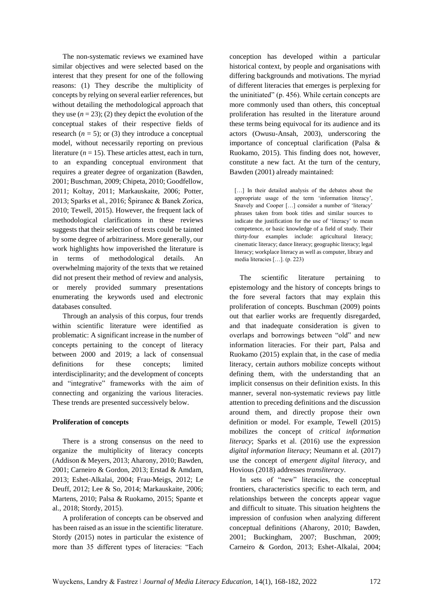The non-systematic reviews we examined have similar objectives and were selected based on the interest that they present for one of the following reasons: (1) They describe the multiplicity of concepts by relying on several earlier references, but without detailing the methodological approach that they use  $(n = 23)$ ; (2) they depict the evolution of the conceptual stakes of their respective fields of research  $(n = 5)$ ; or (3) they introduce a conceptual model, without necessarily reporting on previous literature  $(n = 15)$ . These articles attest, each in turn, to an expanding conceptual environment that requires a greater degree of organization (Bawden, 2001; Buschman, 2009; Chipeta, 2010; Goodfellow, 2011; Koltay, 2011; Markauskaite, 2006; Potter, 2013; Sparks et al., 2016; Špiranec & Banek Zorica, 2010; Tewell, 2015). However, the frequent lack of methodological clarifications in these reviews suggests that their selection of texts could be tainted by some degree of arbitrariness. More generally, our work highlights how impoverished the literature is in terms of methodological details. An overwhelming majority of the texts that we retained did not present their method of review and analysis, or merely provided summary presentations enumerating the keywords used and electronic databases consulted.

Through an analysis of this corpus, four trends within scientific literature were identified as problematic: A significant increase in the number of concepts pertaining to the concept of literacy between 2000 and 2019; a lack of consensual definitions for these concepts; limited interdisciplinarity; and the development of concepts and "integrative" frameworks with the aim of connecting and organizing the various literacies. These trends are presented successively below.

# **Proliferation of concepts**

There is a strong consensus on the need to organize the multiplicity of literacy concepts (Addison & Meyers, 2013; Aharony, 2010; Bawden, 2001; Carneiro & Gordon, 2013; Erstad & Amdam, 2013; Eshet-Alkalai, 2004; Frau-Meigs, 2012; Le Deuff, 2012; Lee & So, 2014; Markauskaite, 2006; Martens, 2010; Palsa & Ruokamo, 2015; Spante et al., 2018; Stordy, 2015).

A proliferation of concepts can be observed and has been raised as an issue in the scientific literature. Stordy (2015) notes in particular the existence of more than 35 different types of literacies: "Each conception has developed within a particular historical context, by people and organisations with differing backgrounds and motivations. The myriad of different literacies that emerges is perplexing for the uninitiated" (p. 456). While certain concepts are more commonly used than others, this conceptual proliferation has resulted in the literature around these terms being equivocal for its audience and its actors (Owusu-Ansah, 2003), underscoring the importance of conceptual clarification (Palsa & Ruokamo, 2015). This finding does not, however, constitute a new fact. At the turn of the century, Bawden (2001) already maintained:

[...] In their detailed analysis of the debates about the appropriate usage of the term 'information literacy', Snavely and Cooper […] consider a number of 'literacy' phrases taken from book titles and similar sources to indicate the justification for the use of 'literacy' to mean competence, or basic knowledge of a field of study. Their thirty-four examples include: agricultural literacy; cinematic literacy; dance literacy; geographic literacy; legal literacy; workplace literacy as well as computer, library and media literacies […]. (p. 223)

The scientific literature pertaining to epistemology and the history of concepts brings to the fore several factors that may explain this proliferation of concepts. Buschman (2009) points out that earlier works are frequently disregarded, and that inadequate consideration is given to overlaps and borrowings between "old" and new information literacies. For their part, Palsa and Ruokamo (2015) explain that, in the case of media literacy, certain authors mobilize concepts without defining them, with the understanding that an implicit consensus on their definition exists. In this manner, several non-systematic reviews pay little attention to preceding definitions and the discussion around them, and directly propose their own definition or model. For example, Tewell (2015) mobilizes the concept of *critical information literacy*; Sparks et al. (2016) use the expression *digital information literacy*; Neumann et al. (2017) use the concept of *emergent digital literacy*, and Hovious (2018) addresses *transliteracy*.

In sets of "new" literacies, the conceptual frontiers, characteristics specific to each term, and relationships between the concepts appear vague and difficult to situate. This situation heightens the impression of confusion when analyzing different conceptual definitions (Aharony, 2010; Bawden, 2001; Buckingham, 2007; Buschman, 2009; Carneiro & Gordon, 2013; Eshet-Alkalai, 2004;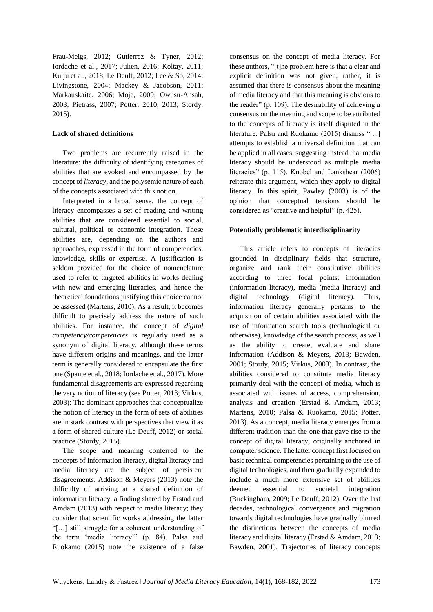Frau-Meigs, 2012; Gutierrez & Tyner, 2012; Iordache et al., 2017; Julien, 2016; Koltay, 2011; Kulju et al., 2018; Le Deuff, 2012; Lee & So, 2014; Livingstone, 2004; Mackey & Jacobson, 2011; Markauskaite, 2006; Moje, 2009; Owusu-Ansah, 2003; Pietrass, 2007; Potter, 2010, 2013; Stordy, 2015).

### **Lack of shared definitions**

Two problems are recurrently raised in the literature: the difficulty of identifying categories of abilities that are evoked and encompassed by the concept of *literacy*, and the polysemic nature of each of the concepts associated with this notion.

Interpreted in a broad sense, the concept of literacy encompasses a set of reading and writing abilities that are considered essential to social, cultural, political or economic integration. These abilities are, depending on the authors and approaches, expressed in the form of competencies, knowledge, skills or expertise. A justification is seldom provided for the choice of nomenclature used to refer to targeted abilities in works dealing with new and emerging literacies, and hence the theoretical foundations justifying this choice cannot be assessed (Martens, 2010). As a result, it becomes difficult to precisely address the nature of such abilities. For instance, the concept of *digital competency/competencies* is regularly used as a synonym of digital literacy, although these terms have different origins and meanings, and the latter term is generally considered to encapsulate the first one (Spante et al., 2018; Iordache et al., 2017). More fundamental disagreements are expressed regarding the very notion of literacy (see Potter, 2013; Virkus, 2003): The dominant approaches that conceptualize the notion of literacy in the form of sets of abilities are in stark contrast with perspectives that view it as a form of shared culture (Le Deuff, 2012) or social practice (Stordy, 2015).

The scope and meaning conferred to the concepts of information literacy, digital literacy and media literacy are the subject of persistent disagreements. Addison & Meyers (2013) note the difficulty of arriving at a shared definition of information literacy, a finding shared by Erstad and Amdam (2013) with respect to media literacy; they consider that scientific works addressing the latter "[…] still struggle for a coherent understanding of the term 'media literacy'" (p. 84). Palsa and Ruokamo (2015) note the existence of a false

consensus on the concept of media literacy. For these authors, "[t]he problem here is that a clear and explicit definition was not given; rather, it is assumed that there is consensus about the meaning of media literacy and that this meaning is obvious to the reader" (p. 109). The desirability of achieving a consensus on the meaning and scope to be attributed to the concepts of literacy is itself disputed in the literature. Palsa and Ruokamo (2015) dismiss "[...] attempts to establish a universal definition that can be applied in all cases, suggesting instead that media literacy should be understood as multiple media literacies" (p. 115). Knobel and Lankshear (2006) reiterate this argument, which they apply to digital literacy. In this spirit, Pawley (2003) is of the opinion that conceptual tensions should be considered as "creative and helpful" (p. 425).

## **Potentially problematic interdisciplinarity**

This article refers to concepts of literacies grounded in disciplinary fields that structure, organize and rank their constitutive abilities according to three focal points: information (information literacy), media (media literacy) and digital technology (digital literacy). Thus, information literacy generally pertains to the acquisition of certain abilities associated with the use of information search tools (technological or otherwise), knowledge of the search process, as well as the ability to create, evaluate and share information (Addison & Meyers, 2013; Bawden, 2001; Stordy, 2015; Virkus, 2003). In contrast, the abilities considered to constitute media literacy primarily deal with the concept of media, which is associated with issues of access, comprehension, analysis and creation (Erstad & Amdam, 2013; Martens, 2010; Palsa & Ruokamo, 2015; Potter, 2013). As a concept, media literacy emerges from a different tradition than the one that gave rise to the concept of digital literacy, originally anchored in computer science. The latter concept first focused on basic technical competencies pertaining to the use of digital technologies, and then gradually expanded to include a much more extensive set of abilities deemed essential to societal integration (Buckingham, 2009; Le Deuff, 2012). Over the last decades, technological convergence and migration towards digital technologies have gradually blurred the distinctions between the concepts of media literacy and digital literacy (Erstad & Amdam, 2013; Bawden, 2001). Trajectories of literacy concepts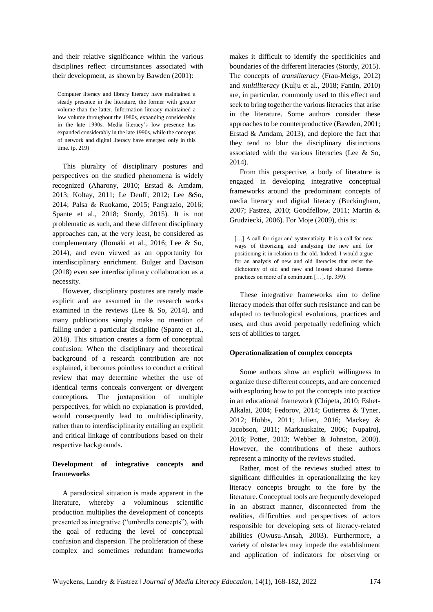and their relative significance within the various disciplines reflect circumstances associated with their development, as shown by Bawden (2001):

Computer literacy and library literacy have maintained a steady presence in the literature, the former with greater volume than the latter. Information literacy maintained a low volume throughout the 1980s, expanding considerably in the late 1990s. Media literacy's low presence has expanded considerably in the late 1990s, while the concepts of network and digital literacy have emerged only in this time. (p. 219)

This plurality of disciplinary postures and perspectives on the studied phenomena is widely recognized (Aharony, 2010; Erstad & Amdam, 2013; Koltay, 2011; Le Deuff, 2012; Lee &So, 2014; Palsa & Ruokamo, 2015; Pangrazio, 2016; Spante et al., 2018; Stordy, 2015). It is not problematic as such, and these different disciplinary approaches can, at the very least, be considered as complementary (Ilomäki et al., 2016; Lee & So, 2014), and even viewed as an opportunity for interdisciplinary enrichment. Bulger and Davison (2018) even see interdisciplinary collaboration as a necessity.

However, disciplinary postures are rarely made explicit and are assumed in the research works examined in the reviews (Lee & So, 2014), and many publications simply make no mention of falling under a particular discipline (Spante et al., 2018). This situation creates a form of conceptual confusion: When the disciplinary and theoretical background of a research contribution are not explained, it becomes pointless to conduct a critical review that may determine whether the use of identical terms conceals convergent or divergent conceptions. The juxtaposition of multiple perspectives, for which no explanation is provided, would consequently lead to multidisciplinarity, rather than to interdisciplinarity entailing an explicit and critical linkage of contributions based on their respective backgrounds.

# **Development of integrative concepts and frameworks**

A paradoxical situation is made apparent in the literature, whereby a voluminous scientific production multiplies the development of concepts presented as integrative ("umbrella concepts"), with the goal of reducing the level of conceptual confusion and dispersion. The proliferation of these complex and sometimes redundant frameworks

makes it difficult to identify the specificities and boundaries of the different literacies (Stordy, 2015). The concepts of *transliteracy* (Frau-Meigs, 2012) and *multiliteracy* (Kulju et al., 2018; Fantin, 2010) are, in particular, commonly used to this effect and seek to bring together the various literacies that arise in the literature. Some authors consider these approaches to be counterproductive (Bawden, 2001; Erstad & Amdam, 2013), and deplore the fact that they tend to blur the disciplinary distinctions associated with the various literacies (Lee & So, 2014).

From this perspective, a body of literature is engaged in developing integrative conceptual frameworks around the predominant concepts of media literacy and digital literacy (Buckingham, 2007; Fastrez, 2010; Goodfellow, 2011; Martin & Grudziecki, 2006). For Moje (2009), this is:

[...] A call for rigor and systematicity. It is a call for new ways of theorizing and analyzing the new and for positioning it in relation to the old. Indeed, I would argue for an analysis of new and old literacies that resist the dichotomy of old and new and instead situated literate practices on more of a continuum […]. (p. 359).

These integrative frameworks aim to define literacy models that offer such resistance and can be adapted to technological evolutions, practices and uses, and thus avoid perpetually redefining which sets of abilities to target.

# **Operationalization of complex concepts**

Some authors show an explicit willingness to organize these different concepts, and are concerned with exploring how to put the concepts into practice in an educational framework (Chipeta, 2010; Eshet-Alkalai, 2004; Fedorov, 2014; Gutierrez & Tyner, 2012; Hobbs, 2011; Julien, 2016; Mackey & Jacobson, 2011; Markauskaite, 2006; Nupairoj, 2016; Potter, 2013; Webber & Johnston, 2000). However, the contributions of these authors represent a minority of the reviews studied.

Rather, most of the reviews studied attest to significant difficulties in operationalizing the key literacy concepts brought to the fore by the literature. Conceptual tools are frequently developed in an abstract manner, disconnected from the realities, difficulties and perspectives of actors responsible for developing sets of literacy-related abilities (Owusu-Ansah, 2003). Furthermore, a variety of obstacles may impede the establishment and application of indicators for observing or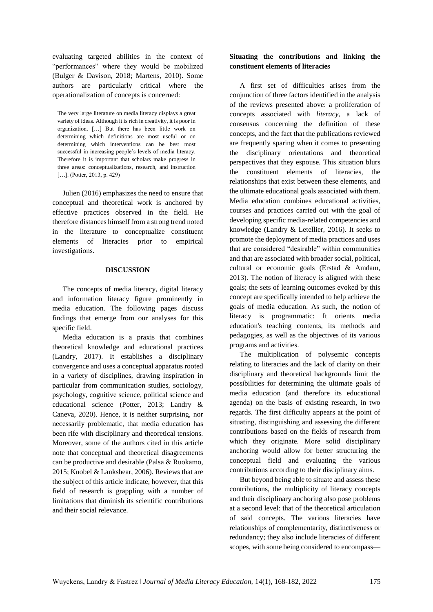evaluating targeted abilities in the context of "performances" where they would be mobilized (Bulger & Davison, 2018; Martens, 2010). Some authors are particularly critical where the operationalization of concepts is concerned:

The very large literature on media literacy displays a great variety of ideas. Although it is rich in creativity, it is poor in organization. […] But there has been little work on determining which definitions are most useful or on determining which interventions can be best most successful in increasing people's levels of media literacy. Therefore it is important that scholars make progress in three areas: conceptualizations, research, and instruction [...]. (Potter, 2013, p. 429)

Julien (2016) emphasizes the need to ensure that conceptual and theoretical work is anchored by effective practices observed in the field. He therefore distances himself from a strong trend noted in the literature to conceptualize constituent elements of literacies prior to empirical investigations.

## **DISCUSSION**

The concepts of media literacy, digital literacy and information literacy figure prominently in media education. The following pages discuss findings that emerge from our analyses for this specific field.

Media education is a praxis that combines theoretical knowledge and educational practices (Landry, 2017). It establishes a disciplinary convergence and uses a conceptual apparatus rooted in a variety of disciplines, drawing inspiration in particular from communication studies, sociology, psychology, cognitive science, political science and educational science (Potter, 2013; Landry & Caneva, 2020). Hence, it is neither surprising, nor necessarily problematic, that media education has been rife with disciplinary and theoretical tensions. Moreover, some of the authors cited in this article note that conceptual and theoretical disagreements can be productive and desirable (Palsa & Ruokamo, 2015; Knobel & Lankshear, 2006). Reviews that are the subject of this article indicate, however, that this field of research is grappling with a number of limitations that diminish its scientific contributions and their social relevance.

# **Situating the contributions and linking the constituent elements of literacies**

A first set of difficulties arises from the conjunction of three factors identified in the analysis of the reviews presented above: a proliferation of concepts associated with *literacy*, a lack of consensus concerning the definition of these concepts, and the fact that the publications reviewed are frequently sparing when it comes to presenting the disciplinary orientations and theoretical perspectives that they espouse. This situation blurs the constituent elements of literacies, the relationships that exist between these elements, and the ultimate educational goals associated with them. Media education combines educational activities, courses and practices carried out with the goal of developing specific media-related competencies and knowledge (Landry & Letellier, 2016). It seeks to promote the deployment of media practices and uses that are considered "desirable" within communities and that are associated with broader social, political, cultural or economic goals (Erstad & Amdam, 2013). The notion of literacy is aligned with these goals; the sets of learning outcomes evoked by this concept are specifically intended to help achieve the goals of media education. As such, the notion of literacy is programmatic: It orients media education's teaching contents, its methods and pedagogies, as well as the objectives of its various programs and activities.

The multiplication of polysemic concepts relating to literacies and the lack of clarity on their disciplinary and theoretical backgrounds limit the possibilities for determining the ultimate goals of media education (and therefore its educational agenda) on the basis of existing research, in two regards. The first difficulty appears at the point of situating, distinguishing and assessing the different contributions based on the fields of research from which they originate. More solid disciplinary anchoring would allow for better structuring the conceptual field and evaluating the various contributions according to their disciplinary aims.

But beyond being able to situate and assess these contributions, the multiplicity of literacy concepts and their disciplinary anchoring also pose problems at a second level: that of the theoretical articulation of said concepts. The various literacies have relationships of complementarity, distinctiveness or redundancy; they also include literacies of different scopes, with some being considered to encompass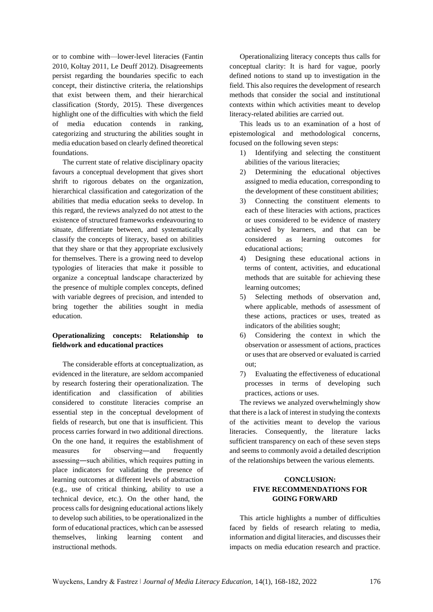or to combine with—lower-level literacies (Fantin 2010, Koltay 2011, Le Deuff 2012). Disagreements persist regarding the boundaries specific to each concept, their distinctive criteria, the relationships that exist between them, and their hierarchical classification (Stordy, 2015). These divergences highlight one of the difficulties with which the field of media education contends in ranking, categorizing and structuring the abilities sought in media education based on clearly defined theoretical foundations.

The current state of relative disciplinary opacity favours a conceptual development that gives short shrift to rigorous debates on the organization, hierarchical classification and categorization of the abilities that media education seeks to develop. In this regard, the reviews analyzed do not attest to the existence of structured frameworks endeavouring to situate, differentiate between, and systematically classify the concepts of literacy, based on abilities that they share or that they appropriate exclusively for themselves. There is a growing need to develop typologies of literacies that make it possible to organize a conceptual landscape characterized by the presence of multiple complex concepts, defined with variable degrees of precision, and intended to bring together the abilities sought in media education.

# **Operationalizing concepts: Relationship to fieldwork and educational practices**

The considerable efforts at conceptualization, as evidenced in the literature, are seldom accompanied by research fostering their operationalization. The identification and classification of abilities considered to constitute literacies comprise an essential step in the conceptual development of fields of research, but one that is insufficient. This process carries forward in two additional directions. On the one hand, it requires the establishment of measures for observing―and frequently assessing―such abilities, which requires putting in place indicators for validating the presence of learning outcomes at different levels of abstraction (e.g., use of critical thinking, ability to use a technical device, etc.). On the other hand, the process calls for designing educational actions likely to develop such abilities, to be operationalized in the form of educational practices, which can be assessed themselves, linking learning content and instructional methods.

Operationalizing literacy concepts thus calls for conceptual clarity: It is hard for vague, poorly defined notions to stand up to investigation in the field. This also requires the development of research methods that consider the social and institutional contexts within which activities meant to develop literacy-related abilities are carried out.

This leads us to an examination of a host of epistemological and methodological concerns, focused on the following seven steps:

- 1) Identifying and selecting the constituent abilities of the various literacies;
- 2) Determining the educational objectives assigned to media education, corresponding to the development of these constituent abilities;
- 3) Connecting the constituent elements to each of these literacies with actions, practices or uses considered to be evidence of mastery achieved by learners, and that can be considered as learning outcomes for educational actions;
- 4) Designing these educational actions in terms of content, activities, and educational methods that are suitable for achieving these learning outcomes;
- 5) Selecting methods of observation and, where applicable, methods of assessment of these actions, practices or uses, treated as indicators of the abilities sought;
- 6) Considering the context in which the observation or assessment of actions, practices or uses that are observed or evaluated is carried out;
- 7) Evaluating the effectiveness of educational processes in terms of developing such practices, actions or uses.

The reviews we analyzed overwhelmingly show that there is a lack of interest in studying the contexts of the activities meant to develop the various literacies. Consequently, the literature lacks sufficient transparency on each of these seven steps and seems to commonly avoid a detailed description of the relationships between the various elements.

# **CONCLUSION: FIVE RECOMMENDATIONS FOR GOING FORWARD**

This article highlights a number of difficulties faced by fields of research relating to media, information and digital literacies, and discusses their impacts on media education research and practice.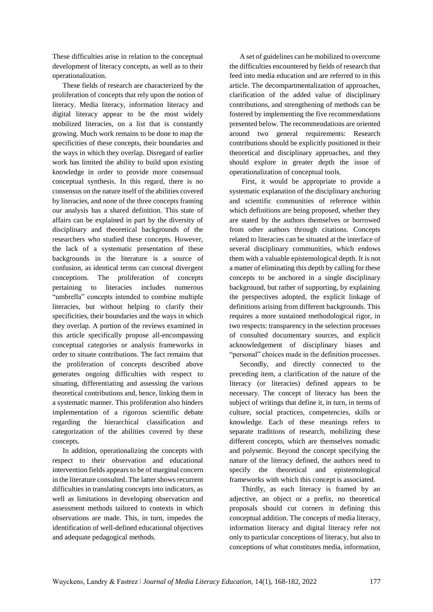These difficulties arise in relation to the conceptual development of literacy concepts, as well as to their operationalization.

These fields of research are characterized by the proliferation of concepts that rely upon the notion of literacy. Media literacy, information literacy and digital literacy appear to be the most widely mobilized literacies, on a list that is constantly growing. Much work remains to be done to map the specificities of these concepts, their boundaries and the ways in which they overlap. Disregard of earlier work has limited the ability to build upon existing knowledge in order to provide more consensual conceptual synthesis. In this regard, there is no consensus on the nature itself of the abilities covered by literacies, and none of the three concepts framing our analysis has a shared definition. This state of affairs can be explained in part by the diversity of disciplinary and theoretical backgrounds of the researchers who studied these concepts. However, the lack of a systematic presentation of these backgrounds in the literature is a source of confusion, as identical terms can conceal divergent conceptions. The proliferation of concepts pertaining to literacies includes numerous "umbrella" concepts intended to combine multiple literacies, but without helping to clarify their specificities, their boundaries and the ways in which they overlap. A portion of the reviews examined in this article specifically propose all-encompassing conceptual categories or analysis frameworks in order to situate contributions. The fact remains that the proliferation of concepts described above generates ongoing difficulties with respect to situating, differentiating and assessing the various theoretical contributions and, hence, linking them in a systematic manner. This proliferation also hinders implementation of a rigorous scientific debate regarding the hierarchical classification and categorization of the abilities covered by these concepts.

In addition, operationalizing the concepts with respect to their observation and educational intervention fields appears to be of marginal concern in the literature consulted. The latter shows recurrent difficulties in translating concepts into indicators, as well as limitations in developing observation and assessment methods tailored to contexts in which observations are made. This, in turn, impedes the identification of well-defined educational objectives and adequate pedagogical methods.

A set of guidelines can be mobilized to overcome the difficulties encountered by fields of research that feed into media education and are referred to in this article. The decompartmentalization of approaches, clarification of the added value of disciplinary contributions, and strengthening of methods can be fostered by implementing the five recommendations presented below. The recommendations are oriented around two general requirements: Research contributions should be explicitly positioned in their theoretical and disciplinary approaches, and they should explore in greater depth the issue of operationalization of conceptual tools.

First, it would be appropriate to provide a systematic explanation of the disciplinary anchoring and scientific communities of reference within which definitions are being proposed, whether they are stated by the authors themselves or borrowed from other authors through citations. Concepts related to literacies can be situated at the interface of several disciplinary communities, which endows them with a valuable epistemological depth. It is not a matter of eliminating this depth by calling for these concepts to be anchored in a single disciplinary background, but rather of supporting, by explaining the perspectives adopted, the explicit linkage of definitions arising from different backgrounds. This requires a more sustained methodological rigor, in two respects: transparency in the selection processes of consulted documentary sources, and explicit acknowledgement of disciplinary biases and "personal" choices made in the definition processes.

Secondly, and directly connected to the preceding item, a clarification of the nature of the literacy (or literacies) defined appears to be necessary. The concept of literacy has been the subject of writings that define it, in turn, in terms of culture, social practices, competencies, skills or knowledge. Each of these meanings refers to separate traditions of research, mobilizing these different concepts, which are themselves nomadic and polysemic. Beyond the concept specifying the nature of the literacy defined, the authors need to specify the theoretical and epistemological frameworks with which this concept is associated.

Thirdly, as each literacy is framed by an adjective, an object or a prefix, no theoretical proposals should cut corners in defining this conceptual addition. The concepts of media literacy, information literacy and digital literacy refer not only to particular conceptions of literacy, but also to conceptions of what constitutes media, information,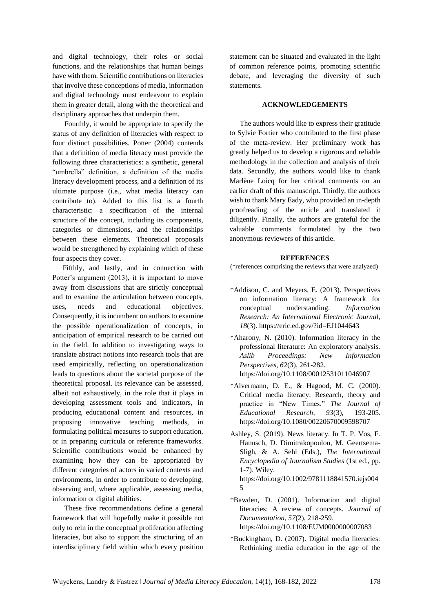and digital technology, their roles or social functions, and the relationships that human beings have with them. Scientific contributions on literacies that involve these conceptions of media, information and digital technology must endeavour to explain them in greater detail, along with the theoretical and disciplinary approaches that underpin them.

Fourthly, it would be appropriate to specify the status of any definition of literacies with respect to four distinct possibilities. Potter (2004) contends that a definition of media literacy must provide the following three characteristics: a synthetic, general "umbrella" definition, a definition of the media literacy development process, and a definition of its ultimate purpose (i.e., what media literacy can contribute to). Added to this list is a fourth characteristic: a specification of the internal structure of the concept, including its components, categories or dimensions, and the relationships between these elements. Theoretical proposals would be strengthened by explaining which of these four aspects they cover.

Fifthly, and lastly, and in connection with Potter's argument (2013), it is important to move away from discussions that are strictly conceptual and to examine the articulation between concepts, uses, needs and educational objectives. Consequently, it is incumbent on authors to examine the possible operationalization of concepts, in anticipation of empirical research to be carried out in the field. In addition to investigating ways to translate abstract notions into research tools that are used empirically, reflecting on operationalization leads to questions about the societal purpose of the theoretical proposal. Its relevance can be assessed, albeit not exhaustively, in the role that it plays in developing assessment tools and indicators, in producing educational content and resources, in proposing innovative teaching methods, in formulating political measures to support education, or in preparing curricula or reference frameworks. Scientific contributions would be enhanced by examining how they can be appropriated by different categories of actors in varied contexts and environments, in order to contribute to developing, observing and, where applicable, assessing media, information or digital abilities.

These five recommendations define a general framework that will hopefully make it possible not only to rein in the conceptual proliferation affecting literacies, but also to support the structuring of an interdisciplinary field within which every position statement can be situated and evaluated in the light of common reference points, promoting scientific debate, and leveraging the diversity of such statements.

## **ACKNOWLEDGEMENTS**

The authors would like to express their gratitude to Sylvie Fortier who contributed to the first phase of the meta-review. Her preliminary work has greatly helped us to develop a rigorous and reliable methodology in the collection and analysis of their data. Secondly, the authors would like to thank Marlène Loicq for her critical comments on an earlier draft of this manuscript. Thirdly, the authors wish to thank Mary Eady, who provided an in-depth proofreading of the article and translated it diligently. Finally, the authors are grateful for the valuable comments formulated by the two anonymous reviewers of this article.

#### **REFERENCES**

(\*references comprising the reviews that were analyzed)

- \*Addison, C. and Meyers, E. (2013). Perspectives on information literacy: A framework for conceptual understanding. *Information Research: An International Electronic Journal*, *18*(3).<https://eric.ed.gov/?id=EJ1044643>
- \*Aharony, N. (2010). Information literacy in the professional literature: An exploratory analysis. *Aslib Proceedings: New Information Perspectives*, *62*(3), 261-282. <https://doi.org/10.1108/00012531011046907>
- \*Alvermann, D. E., & Hagood, M. C. (2000). Critical media literacy: Research, theory and practice in "New Times." *The Journal of Educational Research*, *93*(3), 193-205. <https://doi.org/10.1080/00220670009598707>
- Ashley, S. (2019). News literacy. In T. P. Vos, F. Hanusch, D. Dimitrakopoulou, M. Geertsema-Sligh, & A. Sehl (Eds.), *The International Encyclopedia of Journalism Studies* (1st ed., pp. 1-7). Wiley. [https://doi.org/10.1002/9781118841570.iejs004](https://doi.org/10.1002/9781118841570.iejs0045) [5](https://doi.org/10.1002/9781118841570.iejs0045)
- \*Bawden, D. (2001). Information and digital literacies: A review of concepts. *Journal of Documentation*, *57*(2), 218-259. <https://doi.org/10.1108/EUM0000000007083>
- \*Buckingham, D. (2007). Digital media literacies: Rethinking media education in the age of the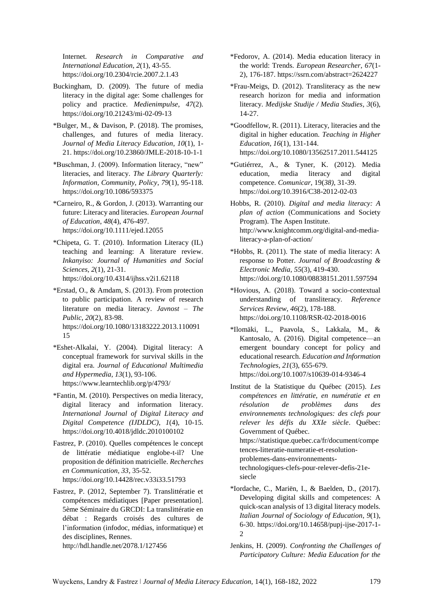Internet. *Research in Comparative and International Education*, *2*(1), 43-55. <https://doi.org/10.2304/rcie.2007.2.1.43>

- Buckingham, D. (2009). The future of media literacy in the digital age: Some challenges for policy and practice. *Medienimpulse*, *47*(2). <https://doi.org/10.21243/mi-02-09-13>
- \*Bulger, M., & Davison, P. (2018). The promises, challenges, and futures of media literacy. *Journal of Media Literacy Education*, *10*(1), 1- 21.<https://doi.org/10.23860/JMLE-2018-10-1-1>
- \*Buschman, J. (2009). Information literacy, "new" literacies, and literacy. *The Library Quarterly: Information, Community, Policy*, *79*(1), 95-118. <https://doi.org/10.1086/593375>
- \*Carneiro, R., & Gordon, J. (2013). Warranting our future: Literacy and literacies. *European Journal of Education*, *48*(4), 476-497. <https://doi.org/10.1111/ejed.12055>
- \*Chipeta, G. T. (2010). Information Literacy (IL) teaching and learning: A literature review. *Inkanyiso: Journal of Humanities and Social Sciences*, *2*(1), 21-31. <https://doi.org/10.4314/ijhss.v2i1.62118>
- \*Erstad, O., & Amdam, S. (2013). From protection to public participation. A review of research literature on media literacy. *Javnost – The Public*, *20*(2), 83-98. [https://doi.org/10.1080/13183222.2013.110091](https://doi.org/10.1080/13183222.2013.11009115) [15](https://doi.org/10.1080/13183222.2013.11009115)
- \*Eshet-Alkalai, Y. (2004). Digital literacy: A conceptual framework for survival skills in the digital era. *Journal of Educational Multimedia and Hypermedia*, *13*(1), 93-106. <https://www.learntechlib.org/p/4793/>
- \*Fantin, M. (2010). Perspectives on media literacy, digital literacy and information literacy. *International Journal of Digital Literacy and Digital Competence (IJDLDC)*, *1*(4), 10-15. <https://doi.org/10.4018/jdldc.2010100102>
- Fastrez, P. (2010). Quelles compétences le concept de littératie médiatique englobe-t-il? Une proposition de définition matricielle. *Recherches en Communication, 33*, 35-52. <https://doi.org/10.14428/rec.v33i33.51793>
- Fastrez, P. (2012, September 7). Translittératie et compétences médiatiques [Paper presentation]. 5ème Séminaire du GRCDI: La translittératie en débat : Regards croisés des cultures de l'information (infodoc, médias, informatique) et des disciplines, Rennes.

<http://hdl.handle.net/2078.1/127456>

- \*Fedorov, A. (2014). Media education literacy in the world: Trends. *European Researcher*, *67*(1- 2), 176-187.<https://ssrn.com/abstract=2624227>
- \*Frau-Meigs, D. (2012). Transliteracy as the new research horizon for media and information literacy. *Medijske Studije / Media Studies*, *3*(6), 14-27.
- \*Goodfellow, R. (2011). Literacy, literacies and the digital in higher education. *Teaching in Higher Education*, *16*(1), 131-144. <https://doi.org/10.1080/13562517.2011.544125>
- \*Gutiérrez, A., & Tyner, K. (2012). Media education, media literacy and digital competence. *Comunicar*, 19(*38)*, 31-39. <https://doi.org/10.3916/C38-2012-02-03>
- Hobbs, R. (2010). *Digital and media literacy: A plan of action* (Communications and Society Program). The Aspen Institute. [http://www.knightcomm.org/digital-and-media](http://www.knightcomm.org/digital-and-media-literacy-a-plan-of-action/)[literacy-a-plan-of-action/](http://www.knightcomm.org/digital-and-media-literacy-a-plan-of-action/)
- \*Hobbs, R. (2011). The state of media literacy: A response to Potter. *Journal of Broadcasting & Electronic Media*, *55*(3), 419-430. <https://doi.org/10.1080/08838151.2011.597594>
- \*Hovious, A. (2018). Toward a socio-contextual understanding of transliteracy. *Reference Services Review*, *46*(2), 178-188. <https://doi.org/10.1108/RSR-02-2018-0016>
- \*Ilomäki, L., Paavola, S., Lakkala, M., & Kantosalo, A. (2016). Digital competence—an emergent boundary concept for policy and educational research. *Education and Information Technologies*, *21*(3), 655-679. <https://doi.org/10.1007/s10639-014-9346-4>
- Institut de la Statistique du Québec (2015). *Les compétences en littératie, en numératie et en résolution de problèmes dans des environnements technologiques: des clefs pour relever les défis du XXIe siècle*. Québec: Government of Québec. [https://statistique.quebec.ca/fr/document/compe](https://statistique.quebec.ca/fr/document/competences-litteratie-numeratie-et-resolution-problemes-dans-environnements-technologiques-clefs-pour-relever-defis-21e-siecle) [tences-litteratie-numeratie-et-resolution](https://statistique.quebec.ca/fr/document/competences-litteratie-numeratie-et-resolution-problemes-dans-environnements-technologiques-clefs-pour-relever-defis-21e-siecle)[problemes-dans-environnements](https://statistique.quebec.ca/fr/document/competences-litteratie-numeratie-et-resolution-problemes-dans-environnements-technologiques-clefs-pour-relever-defis-21e-siecle)[technologiques-clefs-pour-relever-defis-21e](https://statistique.quebec.ca/fr/document/competences-litteratie-numeratie-et-resolution-problemes-dans-environnements-technologiques-clefs-pour-relever-defis-21e-siecle)[siecle](https://statistique.quebec.ca/fr/document/competences-litteratie-numeratie-et-resolution-problemes-dans-environnements-technologiques-clefs-pour-relever-defis-21e-siecle)
- \*Iordache, C., Mariën, I., & Baelden, D., (2017). Developing digital skills and competences: A quick-scan analysis of 13 digital literacy models. *Italian Journal of Sociology of Education*, *9*(1), 6-30. [https://doi.org/10.14658/pupj-ijse-2017-1-](https://doi.org/10.14658/pupj-ijse-2017-1-2)  $\mathcal{D}$
- Jenkins, H. (2009). *Confronting the Challenges of Participatory Culture: Media Education for the*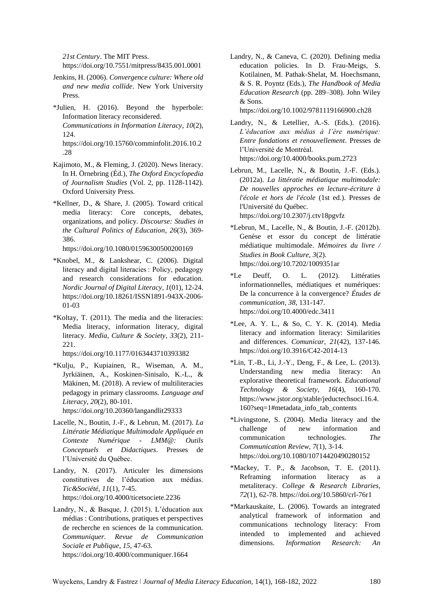*21st Century*. The MIT Press.

<https://doi.org/10.7551/mitpress/8435.001.0001>

- Jenkins, H. (2006). *Convergence culture: Where old and new media collide*. New York University Press.
- \*Julien, H. (2016). Beyond the hyperbole: Information literacy reconsidered. *Communications in Information Literacy*, *10*(2), 124. [https://doi.org/10.15760/comminfolit.2016.10.2](https://doi.org/10.15760/comminfolit.2016.10.2.28)

[.28](https://doi.org/10.15760/comminfolit.2016.10.2.28)

- Kajimoto, M., & Fleming, J. (2020). News literacy. In H. Örnebring (Éd.), *The Oxford Encyclopedia of Journalism Studies* (Vol. 2, pp. 1128-1142). Oxford University Press.
- \*Kellner, D., & Share, J. (2005). Toward critical media literacy: Core concepts, debates, organizations, and policy. *Discourse: Studies in the Cultural Politics of Education*, *26*(3), 369- 386.

<https://doi.org/10.1080/01596300500200169>

- \*Knobel, M., & Lankshear, C. (2006). Digital literacy and digital literacies : Policy, pedagogy and research considerations for education. *Nordic Journal of Digital Literacy*, *1*(01), 12-24. [https://doi.org/10.18261/ISSN1891-943X-2006-](https://doi.org/10.18261/ISSN1891-943X-2006-01-03) [01-03](https://doi.org/10.18261/ISSN1891-943X-2006-01-03)
- \*Koltay, T. (2011). The media and the literacies: Media literacy, information literacy, digital literacy. *Media, Culture & Society*, *33*(2), 211- 221.

<https://doi.org/10.1177/0163443710393382>

\*Kulju, P., Kupiainen, R., Wiseman, A. M., Jyrkiäinen, A., Koskinen-Sinisalo, K.-L., & Mäkinen, M. (2018). A review of multiliteracies pedagogy in primary classrooms. *Language and Literacy*, *20*(2), 80-101.

<https://doi.org/10.20360/langandlit29333>

- Lacelle, N., Boutin, J.-F., & Lebrun, M. (2017). *La Littératie Médiatique Multimodale Appliquée en Contexte Numérique - LMM@: Outils Conceptuels et Didactiques*. Presses de l'Université du Québec.
- Landry, N. (2017). Articuler les dimensions constitutives de l'éducation aux médias. *Tic&Société*, *11*(1), 7-45. <https://doi.org/10.4000/ticetsociete.2236>
- Landry, N., & Basque, J. (2015). L'éducation aux médias : Contributions, pratiques et perspectives de recherche en sciences de la communication. *Communiquer. Revue de Communication Sociale et Publique*, *15*, 47-63. <https://doi.org/10.4000/communiquer.1664>

Landry, N., & Caneva, C. (2020). Defining media education policies. In D. Frau-Meigs, S. Kotilainen, M. Pathak-Shelat, M. Hoechsmann, & S. R. Poyntz (Eds.), *The Handbook of Media Education Research* (pp. 289–308). John Wiley & Sons. <https://doi.org/10.1002/9781119166900.ch28>

Landry, N., & Letellier, A.-S. (Eds.). (2016). *L'éducation aux médias à l'ère numérique: Entre fondations et renouvellement*. Presses de l'Université de Montréal. <https://doi.org/10.4000/books.pum.2723>

- Lebrun, M., Lacelle, N., & Boutin, J.-F. (Eds.). (2012a). *La littératie médiatique multimodale: De nouvelles approches en lecture-écriture à l'école et hors de l'école* (1st ed.). Presses de l'Université du Québec. <https://doi.org/10.2307/j.ctv18pgvfz>
- $*$ Lebrun, M., Lacelle, N., & Boutin, J.-F. (2012b). Genèse et essor du concept de littératie médiatique multimodale. *Mémoires du livre / Studies in Book Culture*, *3*(2). <https://doi.org/10.7202/1009351ar>
- \*Le Deuff, O. L. (2012). Littératies informationnelles, médiatiques et numériques: De la concurrence à la convergence? *Études de communication*, *38*, 131-147. <https://doi.org/10.4000/edc.3411>
- \*Lee, A. Y. L., & So, C. Y. K. (2014). Media literacy and information literacy: Similarities and differences. *Comunicar*, *21*(42), 137-146. <https://doi.org/10.3916/C42-2014-13>
- \*Lin, T.-B., Li, J.-Y., Deng, F., & Lee, L. (2013). Understanding new media literacy: An explorative theoretical framework. *Educational Technology & Society*, *16*(4), 160-170. [https://www.jstor.org/stable/jeductechsoci.16.4.](https://www.jstor.org/stable/jeductechsoci.16.4.160?seq=1#metadata_info_tab_contents) [160?seq=1#metadata\\_info\\_tab\\_contents](https://www.jstor.org/stable/jeductechsoci.16.4.160?seq=1#metadata_info_tab_contents)
- \*Livingstone, S. (2004). Media literacy and the challenge of new information and communication technologies. *The Communication Review, 7*(1), 3-14. <https://doi.org/10.1080/10714420490280152>
- \*Mackey, T. P., & Jacobson, T. E. (2011). Reframing information literacy as a metaliteracy. *College & Research Libraries*, *72*(1), 62-78[. https://doi.org/10.5860/crl-76r1](https://doi.org/10.5860/crl-76r1)
- \*Markauskaite, L. (2006). Towards an integrated analytical framework of information and communications technology literacy: From intended to implemented and achieved dimensions. *Information Research: An*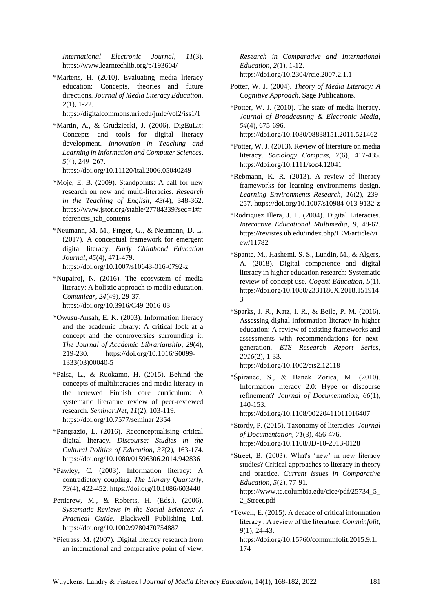*International Electronic Journal*, *11*(3). <https://www.learntechlib.org/p/193604/>

\*Martens, H. (2010). Evaluating media literacy education: Concepts, theories and future directions. *Journal of Media Literacy Education, 2*(1), 1-22.

<https://digitalcommons.uri.edu/jmle/vol2/iss1/1>

- \*Martin, A., & Grudziecki, J. (2006). DigEuLit: Concepts and tools for digital literacy development. *Innovation in Teaching and Learning in Information and Computer Sciences*, *5*(4), 249‒267. <https://doi.org/10.11120/ital.2006.05040249>
- \*Moje, E. B. (2009). Standpoints: A call for new research on new and multi-literacies. *Research in the Teaching of English*, *43*(4), 348-362. [https://www.jstor.org/stable/27784339?seq=1#r](https://www.jstor.org/stable/27784339?seq=1#references_tab_contents) [eferences\\_tab\\_contents](https://www.jstor.org/stable/27784339?seq=1#references_tab_contents)
- \*Neumann, M. M., Finger, G., & Neumann, D. L. (2017). A conceptual framework for emergent digital literacy. *Early Childhood Education Journal*, *45*(4), 471-479. <https://doi.org/10.1007/s10643-016-0792-z>
- \*Nupairoj, N. (2016). The ecosystem of media literacy: A holistic approach to media education. *Comunicar*, *24*(49), 29-37. <https://doi.org/10.3916/C49-2016-03>
- \*Owusu-Ansah, E. K. (2003). Information literacy and the academic library: A critical look at a concept and the controversies surrounding it. *The Journal of Academic Librarianship*, *29*(4), 219-230. [https://doi.org/10.1016/S0099-](https://doi.org/10.1016/S0099-1333(03)00040-5) [1333\(03\)00040-5](https://doi.org/10.1016/S0099-1333(03)00040-5)
- \*Palsa, L., & Ruokamo, H. (2015). Behind the concepts of multiliteracies and media literacy in the renewed Finnish core curriculum: A systematic literature review of peer-reviewed research. *Seminar.Net*, *11*(2), 103-119. <https://doi.org/10.7577/seminar.2354>
- \*Pangrazio, L. (2016). Reconceptualising critical digital literacy. *Discourse: Studies in the Cultural Politics of Education*, *37*(2), 163-174. <https://doi.org/10.1080/01596306.2014.942836>
- \*Pawley, C. (2003). Information literacy: A contradictory coupling. *The Library Quarterly*, *73*(4), 422-452.<https://doi.org/10.1086/603440>
- Petticrew, M., & Roberts, H. (Eds.). (2006). *Systematic Reviews in the Social Sciences: A Practical Guide*. Blackwell Publishing Ltd. <https://doi.org/10.1002/9780470754887>
- \*Pietrass, M. (2007). Digital literacy research from an international and comparative point of view.

*Research in Comparative and International Education*, *2*(1), 1-12. <https://doi.org/10.2304/rcie.2007.2.1.1>

- Potter, W. J. (2004). *Theory of Media Literacy: A Cognitive Approach*. Sage Publications.
- \*Potter, W. J. (2010). The state of media literacy. *Journal of Broadcasting & Electronic Media, 54*(4), 675-696. <https://doi.org/10.1080/08838151.2011.521462>
- \*Potter, W. J. (2013). Review of literature on media literacy. *Sociology Compass*, *7*(6), 417-435. <https://doi.org/10.1111/soc4.12041>
- \*Rebmann, K. R. (2013). A review of literacy frameworks for learning environments design. *Learning Environments Research*, *16*(2), 239- 257[. https://doi.org/10.1007/s10984-013-9132-z](https://doi.org/10.1007/s10984-013-9132-z)
- \*Rodriguez Illera, J. L. (2004). Digital Literacies. *Interactive Educational Multimedia*, *9*, 48-62. [https://revistes.ub.edu/index.php/IEM/article/vi](https://revistes.ub.edu/index.php/IEM/article/view/11782) [ew/11782](https://revistes.ub.edu/index.php/IEM/article/view/11782)
- \*Spante, M., Hashemi, S. S., Lundin, M., & Algers, A. (2018). Digital competence and digital literacy in higher education research: Systematic review of concept use. *Cogent Education*, *5*(1). [https://doi.org/10.1080/2331186X.2018.151914](https://doi.org/10.1080/2331186X.2018.1519143) [3](https://doi.org/10.1080/2331186X.2018.1519143)
- \*Sparks, J. R., Katz, I. R., & Beile, P. M. (2016). Assessing digital information literacy in higher education: A review of existing frameworks and assessments with recommendations for nextgeneration. *ETS Research Report Series*, *2016*(2), 1-33. <https://doi.org/10.1002/ets2.12118>
- \*Špiranec, S., & Banek Zorica, M. (2010). Information literacy 2.0: Hype or discourse refinement? *Journal of Documentation*, *66*(1), 140-153.

<https://doi.org/10.1108/00220411011016407>

- \*Stordy, P. (2015). Taxonomy of literacies. *Journal of Documentation*, *71*(3), 456-476. <https://doi.org/10.1108/JD-10-2013-0128>
- \*Street, B. (2003). What's 'new' in new literacy studies? Critical approaches to literacy in theory and practice. *Current Issues in Comparative Education*, *5*(2), 77-91. [https://www.tc.columbia.edu/cice/pdf/25734\\_5\\_](https://www.tc.columbia.edu/cice/pdf/25734_5_2_Street.pdf) [2\\_Street.pdf](https://www.tc.columbia.edu/cice/pdf/25734_5_2_Street.pdf)
- \*Tewell, E. (2015). A decade of critical information literacy : A review of the literature. *Comminfolit*, *9*(1), 24-43. [https://doi.org/10.15760/comminfolit.2015.9.1.](https://doi.org/10.15760/comminfolit.2015.9.1.174) [174](https://doi.org/10.15760/comminfolit.2015.9.1.174)